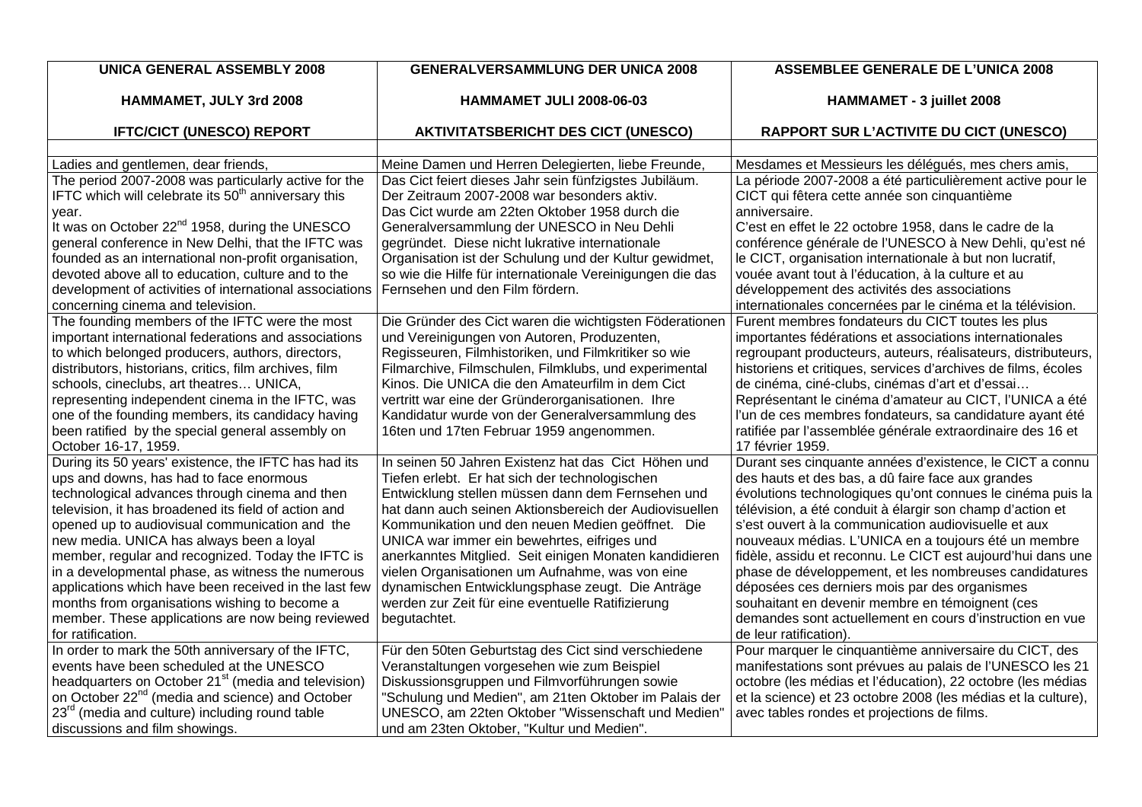| <b>UNICA GENERAL ASSEMBLY 2008</b>                                                                                      | <b>GENERALVERSAMMLUNG DER UNICA 2008</b>                                                              | <b>ASSEMBLEE GENERALE DE L'UNICA 2008</b>                                                                          |
|-------------------------------------------------------------------------------------------------------------------------|-------------------------------------------------------------------------------------------------------|--------------------------------------------------------------------------------------------------------------------|
| HAMMAMET, JULY 3rd 2008                                                                                                 | <b>HAMMAMET JULI 2008-06-03</b>                                                                       | HAMMAMET - 3 juillet 2008                                                                                          |
| <b>IFTC/CICT (UNESCO) REPORT</b>                                                                                        | <b>AKTIVITATSBERICHT DES CICT (UNESCO)</b>                                                            | <b>RAPPORT SUR L'ACTIVITE DU CICT (UNESCO)</b>                                                                     |
|                                                                                                                         |                                                                                                       |                                                                                                                    |
| Ladies and gentlemen, dear friends,                                                                                     | Meine Damen und Herren Delegierten, liebe Freunde.                                                    | Mesdames et Messieurs les délégués, mes chers amis,                                                                |
| The period 2007-2008 was particularly active for the<br>IFTC which will celebrate its 50 <sup>th</sup> anniversary this | Das Cict feiert dieses Jahr sein fünfzigstes Jubiläum.<br>Der Zeitraum 2007-2008 war besonders aktiv. | La période 2007-2008 a été particulièrement active pour le<br>CICT qui fêtera cette année son cinquantième         |
| year.                                                                                                                   | Das Cict wurde am 22ten Oktober 1958 durch die                                                        | anniversaire.                                                                                                      |
| It was on October 22 <sup>nd</sup> 1958, during the UNESCO                                                              | Generalversammlung der UNESCO in Neu Dehli                                                            | C'est en effet le 22 octobre 1958, dans le cadre de la                                                             |
| general conference in New Delhi, that the IFTC was                                                                      | gegründet. Diese nicht lukrative internationale                                                       | conférence générale de l'UNESCO à New Dehli, qu'est né                                                             |
| founded as an international non-profit organisation,                                                                    | Organisation ist der Schulung und der Kultur gewidmet,                                                | le CICT, organisation internationale à but non lucratif,                                                           |
| devoted above all to education, culture and to the                                                                      | so wie die Hilfe für internationale Vereinigungen die das<br>Fernsehen und den Film fördern.          | vouée avant tout à l'éducation, à la culture et au                                                                 |
| development of activities of international associations<br>concerning cinema and television.                            |                                                                                                       | développement des activités des associations                                                                       |
| The founding members of the IFTC were the most                                                                          | Die Gründer des Cict waren die wichtigsten Föderationen                                               | internationales concernées par le cinéma et la télévision.<br>Furent membres fondateurs du CICT toutes les plus    |
| important international federations and associations                                                                    | und Vereinigungen von Autoren, Produzenten,                                                           | importantes fédérations et associations internationales                                                            |
| to which belonged producers, authors, directors,                                                                        | Regisseuren, Filmhistoriken, und Filmkritiker so wie                                                  | regroupant producteurs, auteurs, réalisateurs, distributeurs,                                                      |
| distributors, historians, critics, film archives, film                                                                  | Filmarchive, Filmschulen, Filmklubs, und experimental                                                 | historiens et critiques, services d'archives de films, écoles                                                      |
| schools, cineclubs, art theatres UNICA,                                                                                 | Kinos. Die UNICA die den Amateurfilm in dem Cict                                                      | de cinéma, ciné-clubs, cinémas d'art et d'essai                                                                    |
| representing independent cinema in the IFTC, was                                                                        | vertritt war eine der Gründerorganisationen. Ihre                                                     | Représentant le cinéma d'amateur au CICT, l'UNICA a été                                                            |
| one of the founding members, its candidacy having                                                                       | Kandidatur wurde von der Generalversammlung des                                                       | l'un de ces membres fondateurs, sa candidature ayant été                                                           |
| been ratified by the special general assembly on                                                                        | 16ten und 17ten Februar 1959 angenommen.                                                              | ratifiée par l'assemblée générale extraordinaire des 16 et                                                         |
| October 16-17, 1959.                                                                                                    |                                                                                                       | 17 février 1959.                                                                                                   |
| During its 50 years' existence, the IFTC has had its                                                                    | In seinen 50 Jahren Existenz hat das Cict Höhen und                                                   | Durant ses cinquante années d'existence, le CICT a connu                                                           |
| ups and downs, has had to face enormous                                                                                 | Tiefen erlebt. Er hat sich der technologischen                                                        | des hauts et des bas, a dû faire face aux grandes                                                                  |
| technological advances through cinema and then                                                                          | Entwicklung stellen müssen dann dem Fernsehen und                                                     | évolutions technologiques qu'ont connues le cinéma puis la                                                         |
| television, it has broadened its field of action and                                                                    | hat dann auch seinen Aktionsbereich der Audiovisuellen                                                | télévision, a été conduit à élargir son champ d'action et                                                          |
| opened up to audiovisual communication and the                                                                          | Kommunikation und den neuen Medien geöffnet. Die                                                      | s'est ouvert à la communication audiovisuelle et aux                                                               |
| new media. UNICA has always been a loyal                                                                                | UNICA war immer ein bewehrtes, eifriges und                                                           | nouveaux médias. L'UNICA en a toujours été un membre                                                               |
| member, regular and recognized. Today the IFTC is                                                                       | anerkanntes Mitglied. Seit einigen Monaten kandidieren                                                | fidèle, assidu et reconnu. Le CICT est aujourd'hui dans une                                                        |
| in a developmental phase, as witness the numerous                                                                       | vielen Organisationen um Aufnahme, was von eine                                                       | phase de développement, et les nombreuses candidatures                                                             |
| applications which have been received in the last few                                                                   | dynamischen Entwicklungsphase zeugt. Die Anträge                                                      | déposées ces derniers mois par des organismes                                                                      |
| months from organisations wishing to become a                                                                           | werden zur Zeit für eine eventuelle Ratifizierung                                                     | souhaitant en devenir membre en témoignent (ces                                                                    |
| member. These applications are now being reviewed                                                                       | begutachtet.                                                                                          | demandes sont actuellement en cours d'instruction en vue                                                           |
| for ratification.                                                                                                       |                                                                                                       | de leur ratification).                                                                                             |
| In order to mark the 50th anniversary of the IFTC,<br>events have been scheduled at the UNESCO                          | Für den 50ten Geburtstag des Cict sind verschiedene<br>Veranstaltungen vorgesehen wie zum Beispiel    | Pour marquer le cinquantième anniversaire du CICT, des<br>manifestations sont prévues au palais de l'UNESCO les 21 |
| headquarters on October 21 <sup>st</sup> (media and television)                                                         | Diskussionsgruppen und Filmvorführungen sowie                                                         | octobre (les médias et l'éducation), 22 octobre (les médias                                                        |
| on October 22 <sup>nd</sup> (media and science) and October                                                             | "Schulung und Medien", am 21ten Oktober im Palais der                                                 | et la science) et 23 octobre 2008 (les médias et la culture),                                                      |
| 23 <sup>rd</sup> (media and culture) including round table                                                              | UNESCO, am 22ten Oktober "Wissenschaft und Medien'                                                    | avec tables rondes et projections de films.                                                                        |
| discussions and film showings.                                                                                          | und am 23ten Oktober, "Kultur und Medien".                                                            |                                                                                                                    |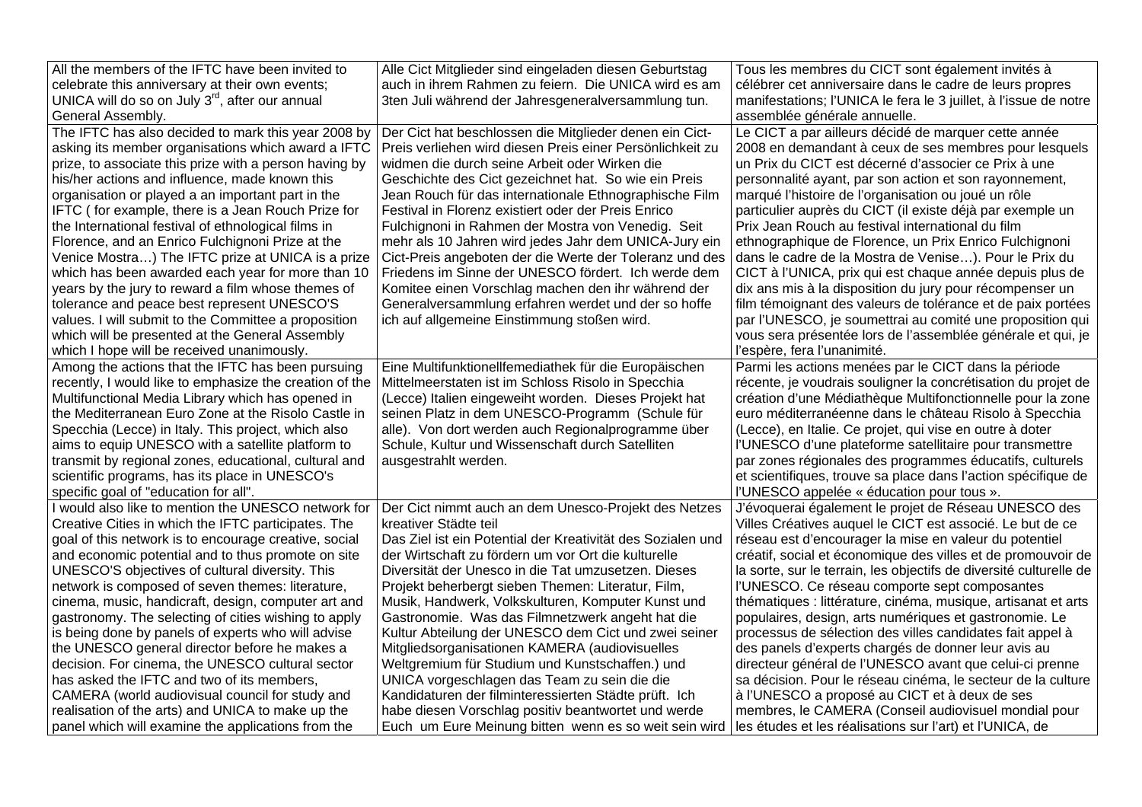| All the members of the IFTC have been invited to            | Alle Cict Mitglieder sind eingeladen diesen Geburtstag      | Tous les membres du CICT sont également invités à                  |
|-------------------------------------------------------------|-------------------------------------------------------------|--------------------------------------------------------------------|
| celebrate this anniversary at their own events;             | auch in ihrem Rahmen zu feiern. Die UNICA wird es am        | célébrer cet anniversaire dans le cadre de leurs propres           |
| UNICA will do so on July 3 <sup>rd</sup> , after our annual | 3ten Juli während der Jahresgeneralversammlung tun.         | manifestations; l'UNICA le fera le 3 juillet, à l'issue de notre   |
| General Assembly.                                           |                                                             | assemblée générale annuelle.                                       |
| The IFTC has also decided to mark this year 2008 by         | Der Cict hat beschlossen die Mitglieder denen ein Cict-     | Le CICT a par ailleurs décidé de marquer cette année               |
| asking its member organisations which award a IFTC          | Preis verliehen wird diesen Preis einer Persönlichkeit zu   | 2008 en demandant à ceux de ses membres pour lesquels              |
| prize, to associate this prize with a person having by      | widmen die durch seine Arbeit oder Wirken die               | un Prix du CICT est décerné d'associer ce Prix à une               |
| his/her actions and influence, made known this              | Geschichte des Cict gezeichnet hat. So wie ein Preis        | personnalité ayant, par son action et son rayonnement,             |
| organisation or played a an important part in the           | Jean Rouch für das internationale Ethnographische Film      | marqué l'histoire de l'organisation ou joué un rôle                |
| IFTC (for example, there is a Jean Rouch Prize for          | Festival in Florenz existiert oder der Preis Enrico         | particulier auprès du CICT (il existe déjà par exemple un          |
| the International festival of ethnological films in         | Fulchignoni in Rahmen der Mostra von Venedig. Seit          | Prix Jean Rouch au festival international du film                  |
| Florence, and an Enrico Fulchignoni Prize at the            | mehr als 10 Jahren wird jedes Jahr dem UNICA-Jury ein       | ethnographique de Florence, un Prix Enrico Fulchignoni             |
| Venice Mostra) The IFTC prize at UNICA is a prize           | Cict-Preis angeboten der die Werte der Toleranz und des     | dans le cadre de la Mostra de Venise). Pour le Prix du             |
| which has been awarded each year for more than 10           | Friedens im Sinne der UNESCO fördert. Ich werde dem         | CICT à l'UNICA, prix qui est chaque année depuis plus de           |
| years by the jury to reward a film whose themes of          | Komitee einen Vorschlag machen den ihr während der          | dix ans mis à la disposition du jury pour récompenser un           |
| tolerance and peace best represent UNESCO'S                 | Generalversammlung erfahren werdet und der so hoffe         | film témoignant des valeurs de tolérance et de paix portées        |
| values. I will submit to the Committee a proposition        | ich auf allgemeine Einstimmung stoßen wird.                 | par l'UNESCO, je soumettrai au comité une proposition qui          |
| which will be presented at the General Assembly             |                                                             | vous sera présentée lors de l'assemblée générale et qui, je        |
| which I hope will be received unanimously.                  |                                                             | l'espère, fera l'unanimité.                                        |
| Among the actions that the IFTC has been pursuing           | Eine Multifunktionellfemediathek für die Europäischen       | Parmi les actions menées par le CICT dans la période               |
| recently, I would like to emphasize the creation of the     | Mittelmeerstaten ist im Schloss Risolo in Specchia          | récente, je voudrais souligner la concrétisation du projet de      |
| Multifunctional Media Library which has opened in           | (Lecce) Italien eingeweiht worden. Dieses Projekt hat       | création d'une Médiathèque Multifonctionnelle pour la zone         |
| the Mediterranean Euro Zone at the Risolo Castle in         | seinen Platz in dem UNESCO-Programm (Schule für             | euro méditerranéenne dans le château Risolo à Specchia             |
| Specchia (Lecce) in Italy. This project, which also         | alle). Von dort werden auch Regionalprogramme über          | (Lecce), en Italie. Ce projet, qui vise en outre à doter           |
| aims to equip UNESCO with a satellite platform to           | Schule, Kultur und Wissenschaft durch Satelliten            | l'UNESCO d'une plateforme satellitaire pour transmettre            |
| transmit by regional zones, educational, cultural and       | ausgestrahlt werden.                                        | par zones régionales des programmes éducatifs, culturels           |
| scientific programs, has its place in UNESCO's              |                                                             | et scientifiques, trouve sa place dans l'action spécifique de      |
| specific goal of "education for all".                       |                                                             | l'UNESCO appelée « éducation pour tous ».                          |
| I would also like to mention the UNESCO network for         | Der Cict nimmt auch an dem Unesco-Projekt des Netzes        | J'évoquerai également le projet de Réseau UNESCO des               |
| Creative Cities in which the IFTC participates. The         | kreativer Städte teil                                       | Villes Créatives auquel le CICT est associé. Le but de ce          |
| goal of this network is to encourage creative, social       | Das Ziel ist ein Potential der Kreativität des Sozialen und | réseau est d'encourager la mise en valeur du potentiel             |
| and economic potential and to thus promote on site          | der Wirtschaft zu fördern um vor Ort die kulturelle         | créatif, social et économique des villes et de promouvoir de       |
| UNESCO'S objectives of cultural diversity. This             | Diversität der Unesco in die Tat umzusetzen. Dieses         | la sorte, sur le terrain, les objectifs de diversité culturelle de |
| network is composed of seven themes: literature,            | Projekt beherbergt sieben Themen: Literatur, Film,          | l'UNESCO. Ce réseau comporte sept composantes                      |
| cinema, music, handicraft, design, computer art and         | Musik, Handwerk, Volkskulturen, Komputer Kunst und          | thématiques : littérature, cinéma, musique, artisanat et arts      |
| gastronomy. The selecting of cities wishing to apply        | Gastronomie. Was das Filmnetzwerk angeht hat die            | populaires, design, arts numériques et gastronomie. Le             |
| is being done by panels of experts who will advise          | Kultur Abteilung der UNESCO dem Cict und zwei seiner        | processus de sélection des villes candidates fait appel à          |
| the UNESCO general director before he makes a               | Mitgliedsorganisationen KAMERA (audiovisuelles              | des panels d'experts chargés de donner leur avis au                |
| decision. For cinema, the UNESCO cultural sector            | Weltgremium für Studium und Kunstschaffen.) und             | directeur général de l'UNESCO avant que celui-ci prenne            |
| has asked the IFTC and two of its members,                  | UNICA vorgeschlagen das Team zu sein die die                | sa décision. Pour le réseau cinéma, le secteur de la culture       |
| CAMERA (world audiovisual council for study and             | Kandidaturen der filminteressierten Städte prüft. Ich       | à l'UNESCO a proposé au CICT et à deux de ses                      |
| realisation of the arts) and UNICA to make up the           | habe diesen Vorschlag positiv beantwortet und werde         | membres, le CAMERA (Conseil audiovisuel mondial pour               |
| panel which will examine the applications from the          | Euch um Eure Meinung bitten wenn es so weit sein wird       | les études et les réalisations sur l'art) et l'UNICA, de           |